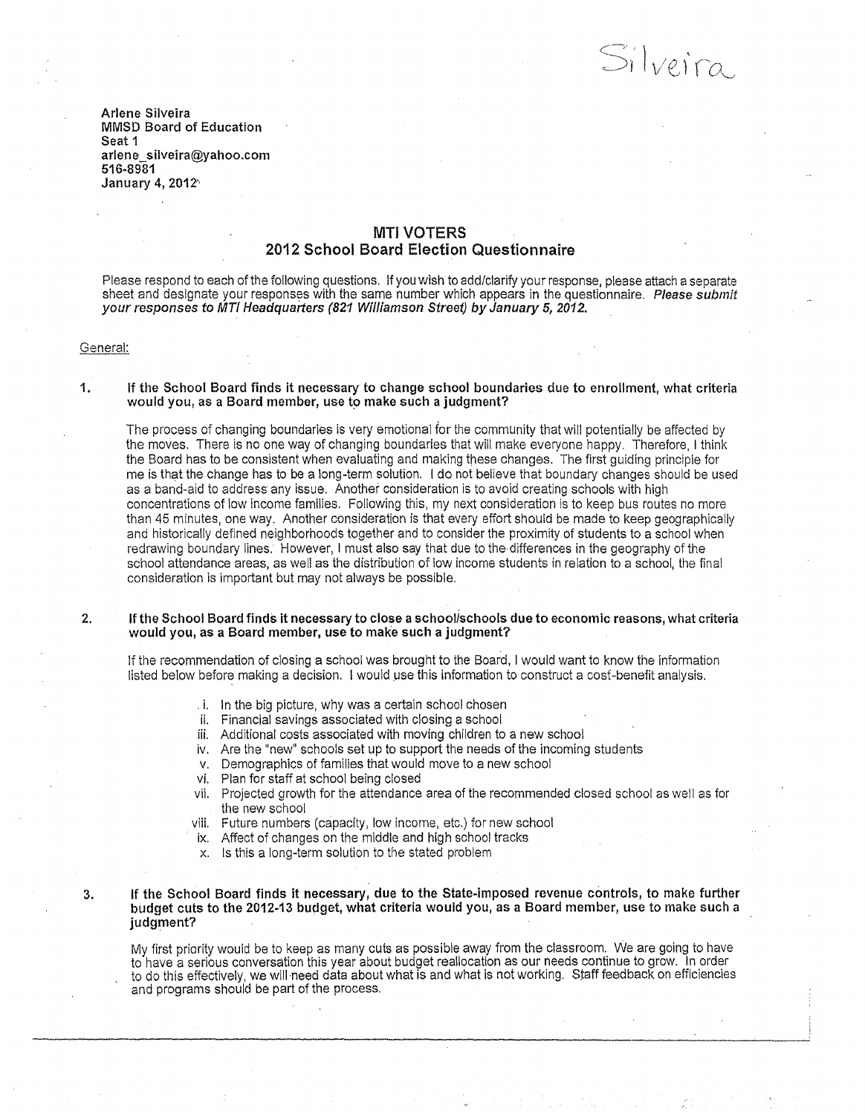Silveira

Arlene Silveira MMSD Board of Education Seat 1 arlene\_silveira@yahoo.com 516-8981 January 4, 2012'

# **MTI VOTERS** 2012 School Board Election Questionnaire

Please respond to each of the following questions. If you wish to add/clarify your response, please attach a separate sheet and designate your responses with the same number which appears in the questionnaire. Please submit your responses to MTI Headquarters (821 Williamson Street) by January 5, 2012.

General:

#### 1. If the School Board finds it necessary to change school boundaries due to enrollment, what criteria would you, as a Board member, use to make such a judgment?

The process of changing boundaries is very emotional for the community that will potentially be affected by the moves. There is no one way of changing boundaries that will make everyone happy. Therefore, I think the Board has to be consistent when evaluating and making tnese changes. The first guiding principle for me is that the change has to be a long-term solution. I do not believe that boundary changes should be used as a band-aid to address any issue. Another consideration is to avoid creating schools with high concentrations of low income families. Following this, my next consideration is to keep bus routes no more than 45 minutes, one way. Another consideration is that every effort should be made to keep geographically and historically defined neighborhoods together and to consider the proximity of students to a school when redrawing boundary lines. However, I must also say that due to the differences in the geography of the school attendance areas, as well as the distribution of low income students in relation to a school, the final consideration is important but may not always be possible.

### 2. If the School Board finds it necessary to close a schoolischools due to economic reasons, what criteria would you, as a Board member, use to make such a judgment?

If the recommendation of closing a school was brought to the Board, I would want to know the information listed below before making a decision. I would use this information to construct a cost-benefit analysis .

- . i. In the big picture, why was a certain school chosen
- ii. Financial savings associated with closing a school
- iii. Additional costs associated with moving children to a new school
- iv. Are the "new" schools set up to support the needs of the incoming students
- v. Demographics of families that would move to a new school
- vi. Plan for staff at school being closed
- vii. Projected growth for the attendance area of the recommended closed school as well as for the new school
- viii. Future numbers (capacity, low income, etc.) for new school
- ix. Affect of changes on the middle and high school tracks
- x. Is this a long-term solution to the stated problem

## 3. If the School Board finds it necessary, due to the State-imposed revenue controls, to make further budget cuts to the 2012-13 budget, what criteria would you, as a Board member, use to make such a judgment?

My first priority would be to keep as many cuts as possible away from the classroom. We are going to have to have a serious conversation this year about budget reallocation as our needs continue to grow. In order to do this effectively, we will ·need data about what is and what is not working. Staff feedback on efficiencies and programs should be part of the process.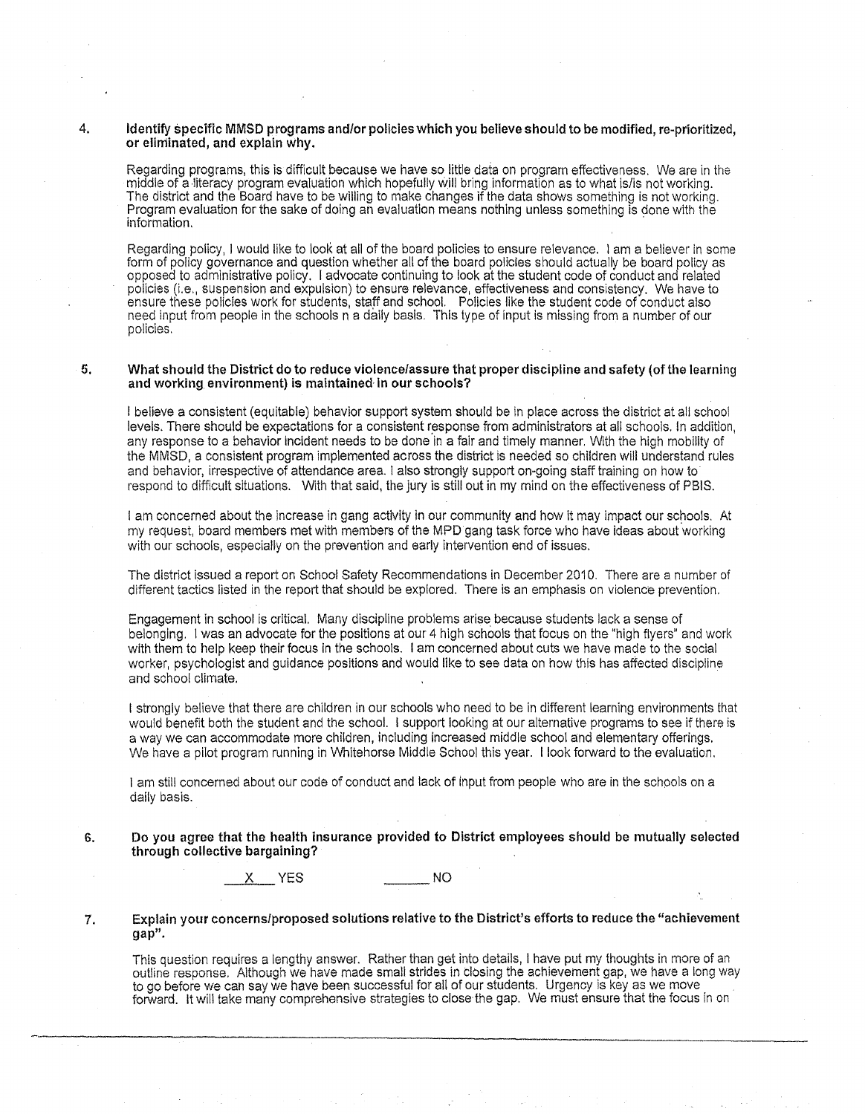### 4. Identify specific MMSD programs and/or policies which you believe should to be modified, re-prioritized, or eliminated, and explain why.

Regarding programs, this is difficult because we have so little data on program effectiveness. We are in the middle of a literacy program evaluation which hopefully will bring information as to what is/is not working. The district and the Board have to be willing to make changes if the data shows something is not working. Program evaluation for the sake of doing an evaluation means nothing unless something is done with the information. *information* 

Regarding policy, I would like to look at all of the board policies to ensure relevance. I am a believer in some form of policy governance and question whether all of the board policies should actually be board policy as opposed to administrative policy. I advocate continuing to look at the student code of conduct and related policies (i.e., suspension and expulsion) to ensure relevance, effectiveness and consistency. We have to ensure these policies work for students, staff and school. Policies like the student code of conduct also need input from people in the schools n a daily basis. This type of input is missing from a number of our policies.

### 5. What should the District do to reduce violence/assure that proper discipline and safety (of the learning and working environment) is maintained in our schools?

I believe a consistent (equitable) behavior support system should be in place across the district at all school levels. There should be expectations for a consistent response from administrators at all schools. In addition, any response to a behavior Incident needs to be done in a fair and timely manner. With the high mobility of the MMSD, a consistent program implemented across the district is needed so children will understand rules and behavior, irrespective of attendance area. I also strongly support on-going staff training on how to· respond to difficult situations. With that said, the jury is still out in my mind on the effectiveness of PSIS.

I am concerned about the increase in gang activity in our community and how it may impact our schools. At my request, board members met with members of the MPD gang task force who have Ideas about working with our schools, especially on the prevention and early intervention end of issues.

The district issued a report on School Safety Recommendations in December 2010. There are a number of different tactics listed in the report that should be explored. There is an emphasis on violence prevention.

Engagement in school is critical. Many discipline problems arise because students lack a sense of belonging. I was an advocate for the positions at our 4 high schools that focus on the "high flyers" and work with them to help keep their focus in the schools. I am concerned about cuts we have made to the social worker, psychologist and guidance positions and would like to see data on how this has affected discipline and school climate.

I strongly believe that there are children in our schools who need to be in different learning environments that would benefit both the student and the school. I support looking at our alternative programs to see if there is a way we can accommodate more children, including increased middle school and elementary offerings. We have a pilot program running in Whitehorse Middle School this year. I look forward to the evaluation.

I am still concerned about our code of conduct and lack of Input from people who are in the schools on a dally basis.

### 6. Do you agree that the health insurance provided to District employees should be mutually selected through collective bargaining?

<sup>X</sup>YES \_\_ NO

### 7. Explain your concerns/proposed solutions relative to the District's efforts to reduce the "achievement gap".

This question requires a lengthy answer. Rather than get into details, I have put my thoughts in more of an outline response. Although we have made small strides in closing the achievement gap, we have a long way to go before we can say we have been successful for all of our students. Urgency is key as we move forward. It will take many comprehensive strategies to close the gap. We must ensure that the focus in on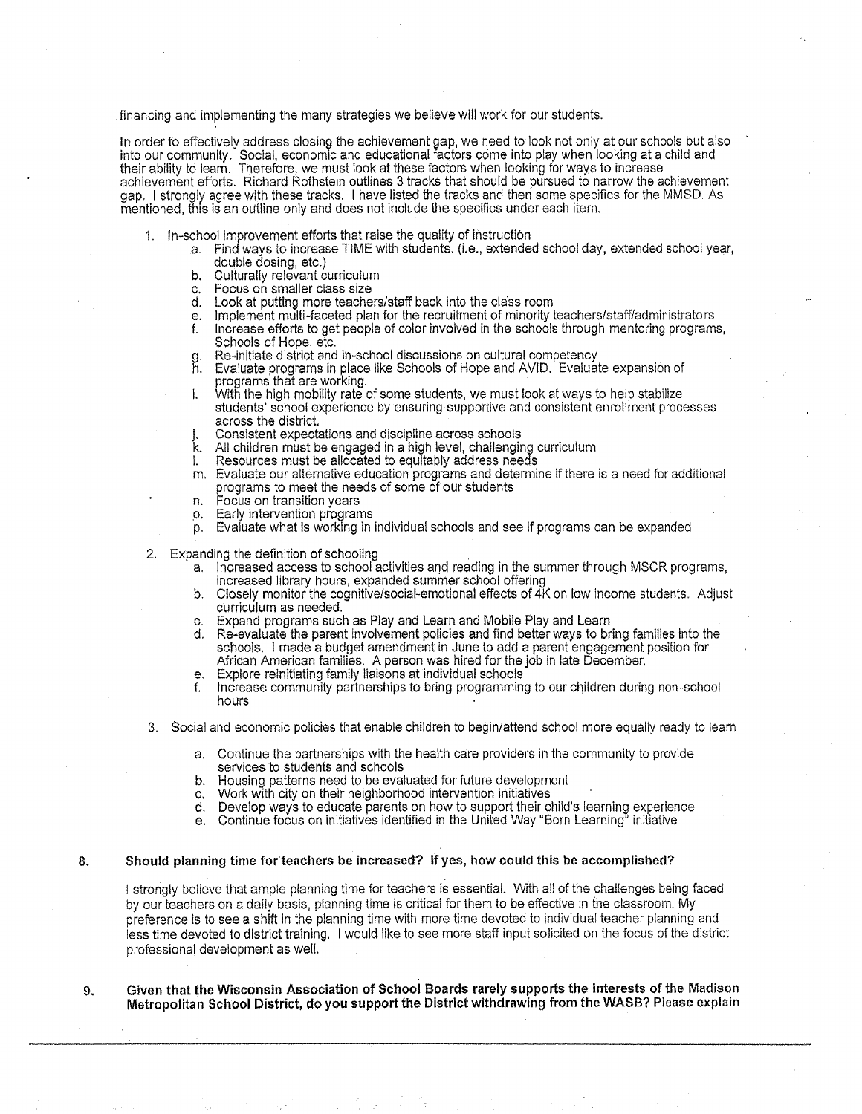. financing and implementing the many strategies we believe will work for our students.

In order to effectively address closing the achievement gap, we need to look not only at our schools but also into our community. Social, economic and educational factors come into play when looking at a child and their ability to learn. Therefore, we must look at these factors when looking for ways to increase achievement efforts. Richard Rothstein outlines 3 tracks that should be pursued to narrow the achievement gap. I strongly agree with these tracks. I have listed the tracks and then some specifics for the MMSD. As mentioned, this is an outline only and does not include the specifics under each item.

- 1. In-school improvement efforts that raise the quality of instruction
	- a. Find ways to increase TIME with students. (I.e., extended school day, extended school year, double dosing, etc.)
		- b. Culturally relevant curriculum
		- c. Focus on smaller class size<br>d. Look at putting more teache
		- Look at putting more teachers/staff back into the class room
		- e. Implement multi-faceted plan for the recruitment of minority teachers/staff/administrators
		- f. Increase efforts to get people of color involved in the schools through mentoring programs, Schools of Hope, etc.<br>Re-initiate district and in-school discussions on cultural competency
		-
		- h. Evaluate programs in place like Schools of Hope and AVID. Evaluate expansion of programs that are working.<br>i. With the high mobility rate of some students, we must look at ways to help stabilize

students' school experience by ensuring supportive and consistent enrollment processes across the district.

- j. Consistent expectations and discipline across schools<br>k. All children must be engaged in a high level, challengir
- All children must be engaged in a high level, challenging curriculum
- Resources must be allocated to equitably address needs
- m. Evaluate our alternative education programs and determine if there is a need for additional programs to meet the needs of some of our students
- n. Focus on transition years
- .o. Early intervention programs
- p. Evaluate what is working in individual schools and see if programs can be expanded
- 
- 2. Expanding the definition of schooling<br>a. Increased access to school activities and reading in the summer through MSCR programs, increased library hours, expanded summer school offering
	- b. Closely monitor the cognitive/social-emotional effects of 4K on low income students. Adjust curriculum as needed.
	- c. Expand programs such as Play and learn and Mobile Play and Learn
	- d. Re-evaluate the parent involvement policies and find better ways to bring families into the schools. I made a budget amendment in June to add a parent engagement position for African American famllies. A person was hired for the job in late December.
	- e. Explore reinitiating family liaisons at individual schools<br>f. Increase community partnerships to bring programming
	- Increase community partnerships to bring programming to our children during non-school hours
- 3. Social and economic policies that enable children to begin/attend school more equally ready to learn
	- a. Continue the partnerships with the health care providers in the community to provide services to students and schools
	- b. Housing patterns need to be evaluated for future development
	- c. Work with city on their neighborhood intervention initiatives
	- d. Develop ways to educate parents on how to support their child's learning experience
	- e. Continue focus on initiatives identified in the United Way "Born Learning" initiative

# 8. Should planning time forteachers be increased? If yes, how could this be accomplished?

I strongly believe that ample planning time for teachers is essentiaL With all of the challenges being faced by our teachers on a daily basis, planning time is critical for them to be effective in (he classroom. My preference is to see a shift in the planning time with more time devoted to individual teacher planning and less time devoted to district training. I would like to see more staff input solicited on the focus of the district professional development as well.

9. Given that the Wisconsin Association of School Boards rarely supports the interests of the Madison Metropolitan School District, do you support the District withdrawing from the WASB? Please explain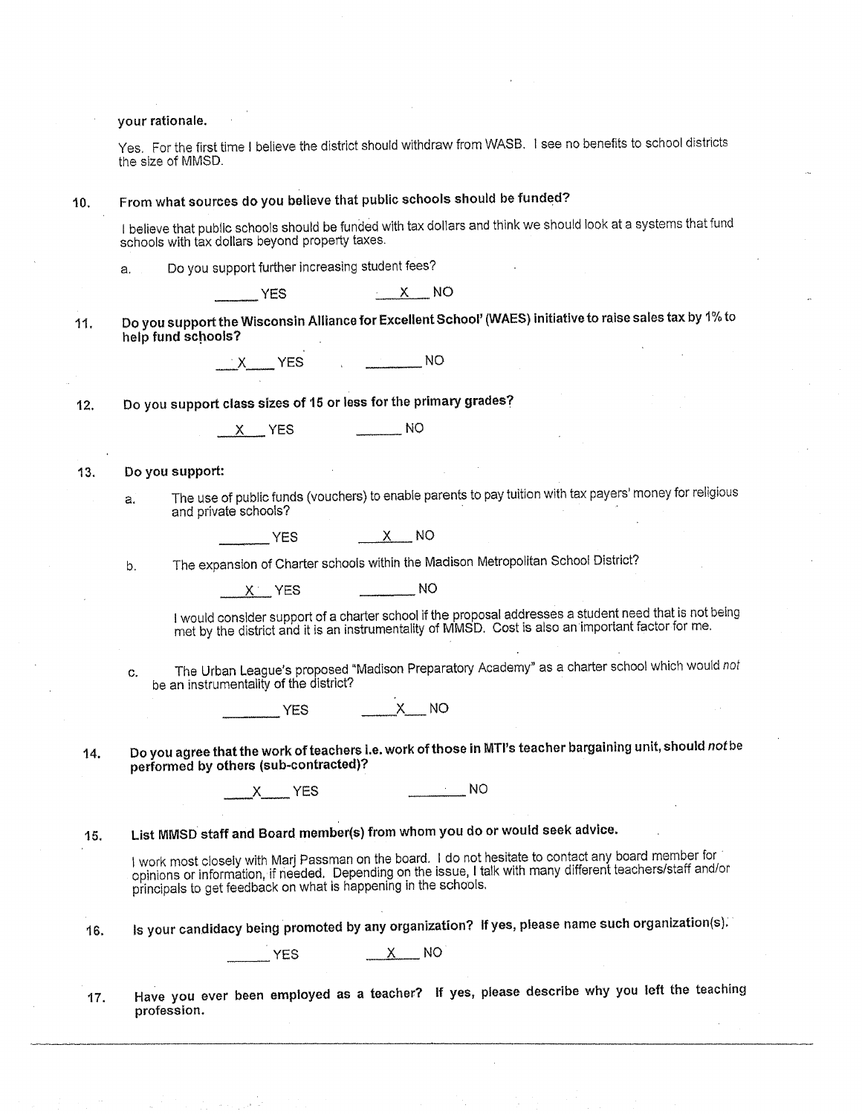your rationale.

Yes. For the first time I believe the district should withdraw from WASB. I see no benefits to school districts the size of MMSD.

| 10. | From what sources do you believe that public schools should be funded?<br>I believe that public schools should be funded with tax dollars and think we should look at a systems that fund<br>schools with tax dollars beyond property taxes. |  |
|-----|----------------------------------------------------------------------------------------------------------------------------------------------------------------------------------------------------------------------------------------------|--|
|     |                                                                                                                                                                                                                                              |  |

 $YES$  X NO

11. Do you support the Wisconsin Alliance for Excellent School' (WAES) initiative to raise sales tax by 1% to help fund schools?

 $\mathsf{Y} \times \mathsf{Y}$  YES  $\mathsf{X} \times \mathsf{Y}$  NO

12. Do you support class sizes of 15 or less for the primary grades?

<sup>X</sup>YES \_\_\_ NO

13. Do you support:

a. The use of public funds (vouchers) to enable parents to pay tuition with tax payers' money for religious and private schools?

\_\_\_\_\_ YES \_\_\_\_\_\_ X\_\_\_ NO

b. The expansion of Charter schools within the Madison Metropolitan School District? \_ \_,\_x~·\_YES \_\_\_ NO

I would consider support of a charter school if the proposal addresses a student need that is not being met by the district and it is an instrumentality of MMSD. Cost is also an important factor for me.

c. The Urban League's proposed "Madison Preparatory Academy" as a charter school which would not

be an instrumentality of the district?<br>\_\_\_\_\_\_YES \_\_\_\_\_\_\_X\_\_\_ NO

14. Do you agree that the work ofteachers I.e. work ofthose in MTI's teacher bargaining unit, should *not* be

performed by others (sub-contracted)? \_X\_ YES \_\_\_ NO

15. List MMSD staff and Board member(s) from whom you do or would seek advice.

I work most closely with Marj Passman on the board. I do not hesitate to contact any board member for opinions or information, if needed. Depending on the issue, I talk with many different teachers/staff and/or principals to get feedback on what is happening in the schools.

16. Is your candidacy being promoted by any organization? If yes, please name such organization{s).

 $YES$   $X$  NO

17. Have you ever been employed as a teacher? If yes, please describe why you left the teaching profession.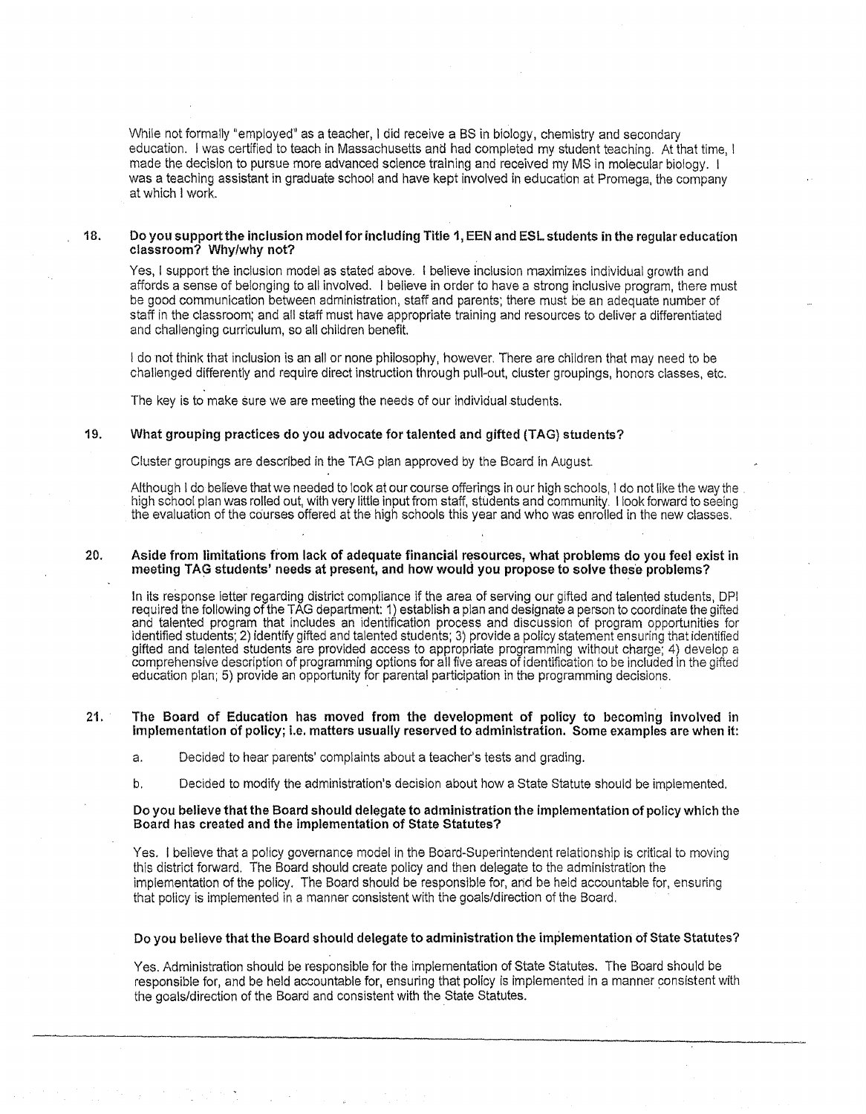While not formally "employed" as a teacher, I did receive a BS in biology, chemistry and secondary education. I was certified to teach in Massachusetts and had completed my student teaching. At that time, I made the decision to pursue more advanced science training and received my MS in molecular biology. 1 was a teaching assistant in graduate school and have kept involved in education at Promega, the company at which I work.

### 18. Do you support the inclusion model for including Title 1, EEN and ESL students in the regular education classroom? Why/why not?

Yes, I support the inclusion model as stated above. I believe inclusion maximizes individual growth and affords a sense of belonging to all involved. I believe in order to have a strong inclusive program, there must be good communication between administration, staff and parents; there must be an adequate number of staff in the classroom; and all staff must have appropriate training and resources to deliver a differentiated and challenging curriculum, so all children benefit.

I do not think that inclusion is an all or none philosophy, however. There are children that may need to be challenged differently and require direct instruction through pull-out, cluster groupings, honors classes, etc.

The key is to make sure we are meeting the needs of our individual students.

# 19. What grouping practices do you advocate for talented and gifted (TAG) students?

Cluster groupings are described in the TAG plan approved by the Board in August.

Although I do believe that we needed to look at our course offerings in our high schools, I do not like the way the<br>high school plan was rolled out, with very little input from staff, students and community. I look forward the evaluation of the courses offered at the high schools this year and who was enrolled in the new classes.

#### 20. Aside from limitations from lack of adequate financial resources, what problems do you feel exist in meeting TAG students' needs at present, and how would you propose to solve these problems?

In its response letter regarding district compliance if the area of serving our gifted and talented students, DPI required the following of the TAG department: 1) establish a plan and designate a person to coordinate the gifted and talented program that includes an identification process and discussion of program opportunities for identified students; 2) identify gifted and talented students; 3) provide a policy statement ensuring that identified gifted and talented students are provided access to appropriate programming without charge; 4) develop a comprehensive description of programming options for all five areas of identification to be included in the gifted education plan; 5) provide an opportunity for parental participation in the programming decisions.

#### 21. The Board of Education has moved from the development of policy to becoming involved in implementation of policy; i.e. matters usually reserved to administration. Some examples are when it:

a. Decided to hear parents' complaints about a teacher's tests and grading.

b. Decided to modify the administration's decision about how a State Statute should be implemented.

#### Do you believe that the Board should delegate to administration the implementation of policy which the Board has created and the implementation of State Statutes?

Yes. I believe that a policy governance model in the Board-Superintendent relationship is critical to moving this district forward. The Board should create policy and then delegate to the administration the implementation of the policy. The Board should be responsible for, arid be held accountable for, ensuring that policy is implemented in a manner consistent with the goals/direction of the Board.

#### Do you believe that the Board should delegate to administration the implementation of State Statutes?

Yes. Administration should be responsible for the implementation of State Statutes. The Board should be responsible for, and be held accountable for, ensuring that policy is implemented in a manner consistent with the goals/direction of the Board and consistent with the State Statutes.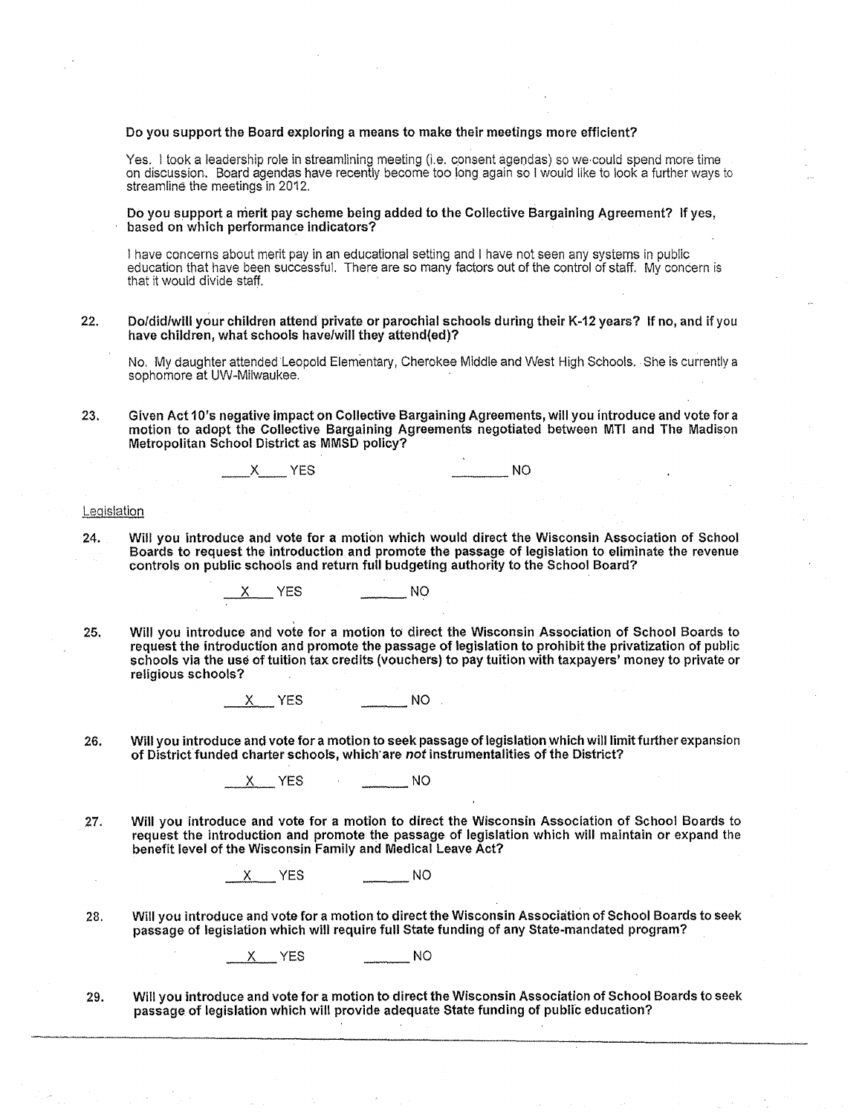#### Do you support the Board exploring a means to make their meetings more efficient?

Yes. I took a leadership role in streamlining meeting (Le. consent agendas) so we·could spend more time on discussion. Board agendas have recently become too long again so I would !ike to look a further ways to streamline the meetings in 2012.

Do you support a merit pay scheme being added to the Collective Bargaining Agreement? If yes, based on which performance indicators?

I have concerns about merit pay in an educational setting and I have not seen any systems in public education that have been successful. There are so many factors out of the control of staff. My concern is that it would divide staff.

### 22. Do/did/will your children attend private or parochial schools during their K~12 years? If no, and if you have children, what schools have/will they attend{ed)?

No. My daughter attended Leopold Elementary, Cherokee Middle and West High Schools .. She is currently a sophomore at UW-Milwaukee.

23. Given Act 10's negative Impact on Collective Bargaining Agreements, will you introduce and vote for a motion to adopt the Collective Bargaining Agreements negotiated between MTI and The Madison Metropolitan School District as MMSD policy?

 $X$  YES  $N$  NO

#### Legislation

24. Will you introduce and vote for a motion which would direct the Wisconsin Association of School Boards to request the introduction and promote the passage of legislation to eliminate the revenue controls on public schools and return full budgeting authority to the School Board?

---~.X~- YES \_\_\_ NO

25. Will you introduce and vote for a motion to direct the Wisconsin Association of School Boards to request the introduction and promote the passage of legislation to prohibit the privatization of public schools via the use of tuition tax credits (vouchers) to pay tuition with taxpayers' money to private or religious schools?

X YES NO

26. Will you introduce and vote for a motion to seek passage of legislation Which will limit further expansion of District funded charter schools, which are *not* instrumentalities of the District?

X YES NO

27. Will you introduce and vote for a motion to direct the Wisconsin Association of School Boards to request the introduction and promote the passage of legislation which will maintain or expand the benefit level of the Wisconsin Family and Medical Leave Act?

 $X$  YES  $\qquad \qquad \blacksquare$  NO

28. Will you introduce and vote for a motion to direct the Wisconsin Association of School Boards to seek passage of legislation which will require full State funding of any State~mandated program?

X YES \_\_\_ NO

29. Will you introduce and vote for a motion to direct the Wisconsin Association of School Boards to seek passage of legislation which will provide adequate State funding of public education?